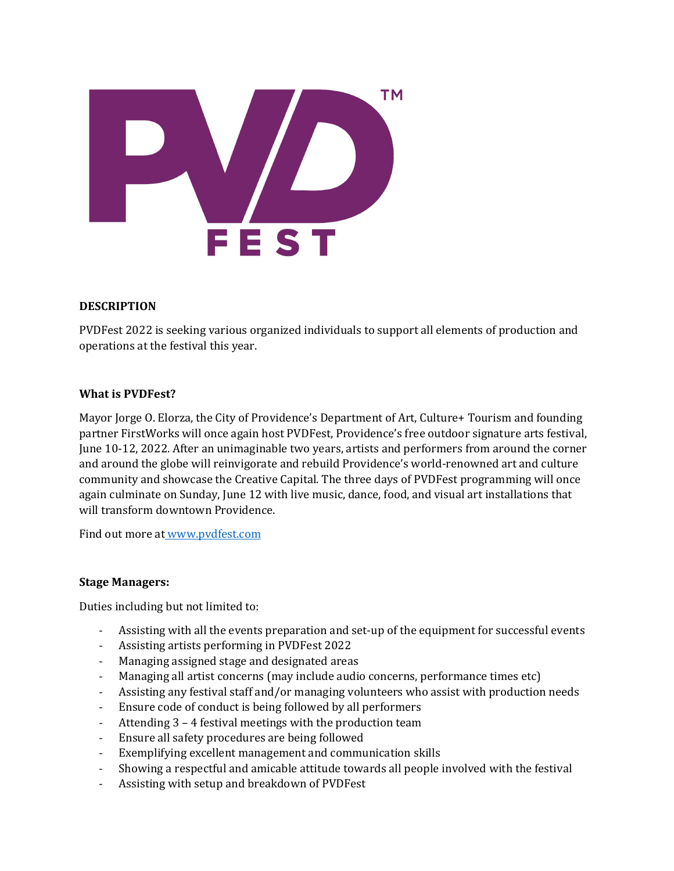

# **DESCRIPTION**

PVDFest 2022 is seeking various organized individuals to support all elements of production and operations at the festival this year.

### **What is PVDFest?**

Mayor Jorge O. Elorza, the City of Providence's Department of Art, Culture+ Tourism and founding partner FirstWorks will once again host PVDFest, Providence's free outdoor signature arts festival, June 10-12, 2022. After an unimaginable two years, artists and performers from around the corner and around the globe will reinvigorate and rebuild Providence's world-renowned art and culture community and showcase the Creative Capital. The three days of PVDFest programming will once again culminate on Sunday, June 12 with live music, dance, food, and visual art installations that will transform downtown Providence.

Find out more at [www.pvdfest.com](http://www.pvdfest.com/) 

### **Stage Managers:**

Duties including but not limited to:

- Assisting with all the events preparation and set-up of the equipment for successful events
- Assisting artists performing in PVDFest 2022
- Managing assigned stage and designated areas
- Managing all artist concerns (may include audio concerns, performance times etc)
- Assisting any festival staff and/or managing volunteers who assist with production needs
- Ensure code of conduct is being followed by all performers
- Attending 3 4 festival meetings with the production team
- Ensure all safety procedures are being followed
- Exemplifying excellent management and communication skills
- Showing a respectful and amicable attitude towards all people involved with the festival
- Assisting with setup and breakdown of PVDFest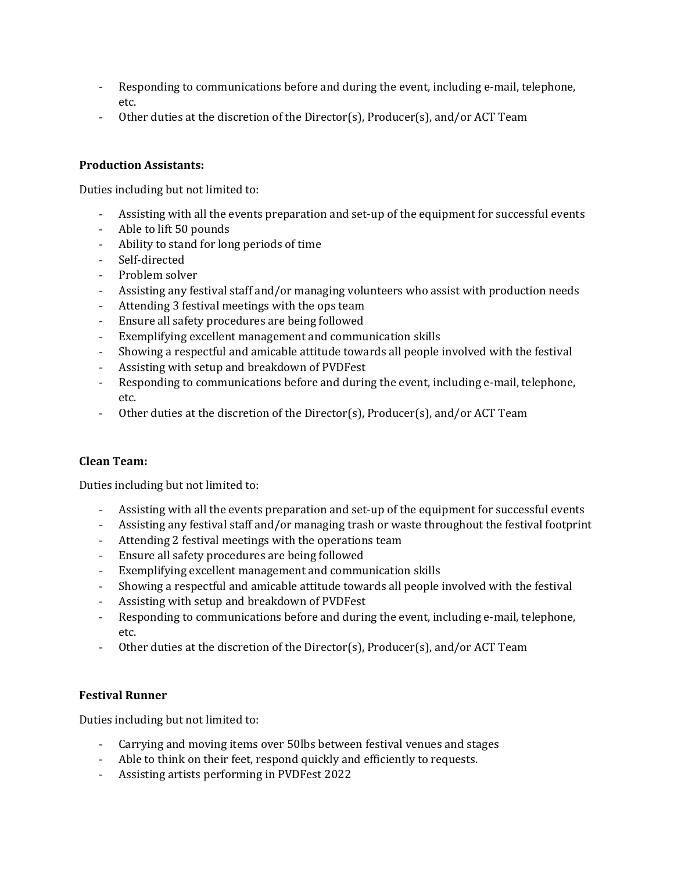- Responding to communications before and during the event, including e-mail, telephone, etc.
- Other duties at the discretion of the Director(s), Producer(s), and/or ACT Team

## **Production Assistants:**

Duties including but not limited to:

- Assisting with all the events preparation and set-up of the equipment for successful events
- Able to lift 50 pounds
- Ability to stand for long periods of time
- Self-directed
- Problem solver
- Assisting any festival staff and/or managing volunteers who assist with production needs
- Attending 3 festival meetings with the ops team
- Ensure all safety procedures are being followed
- Exemplifying excellent management and communication skills
- Showing a respectful and amicable attitude towards all people involved with the festival
- Assisting with setup and breakdown of PVDFest
- Responding to communications before and during the event, including e-mail, telephone, etc.
- Other duties at the discretion of the Director(s), Producer(s), and/or ACT Team

### **Clean Team:**

Duties including but not limited to:

- Assisting with all the events preparation and set-up of the equipment for successful events
- Assisting any festival staff and/or managing trash or waste throughout the festival footprint
- Attending 2 festival meetings with the operations team
- Ensure all safety procedures are being followed
- Exemplifying excellent management and communication skills
- Showing a respectful and amicable attitude towards all people involved with the festival
- Assisting with setup and breakdown of PVDFest
- Responding to communications before and during the event, including e-mail, telephone, etc.
- Other duties at the discretion of the Director(s), Producer(s), and/or ACT Team

### **Festival Runner**

Duties including but not limited to:

- Carrying and moving items over 50lbs between festival venues and stages
- Able to think on their feet, respond quickly and efficiently to requests.
- Assisting artists performing in PVDFest 2022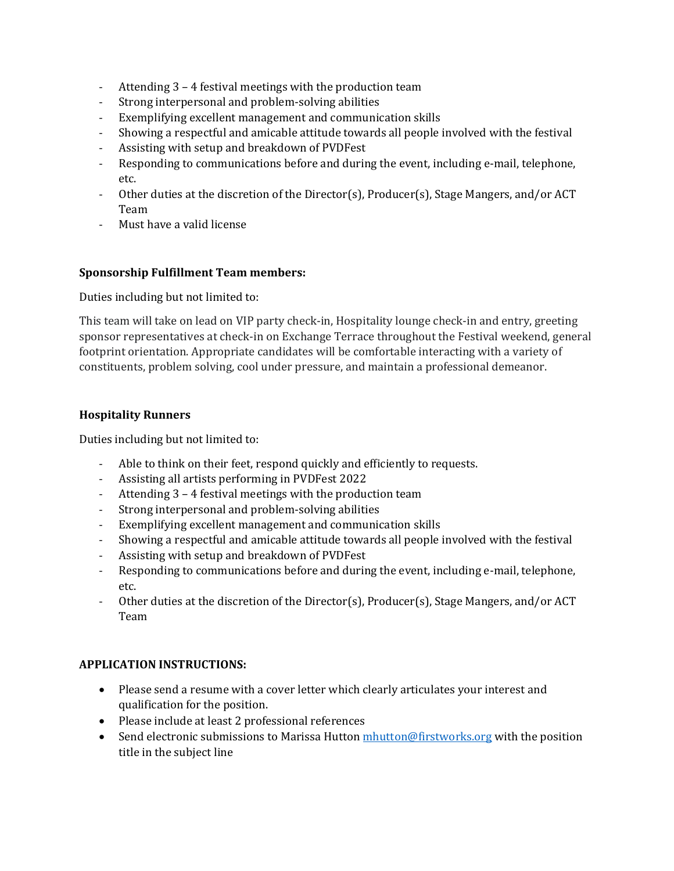- Attending 3 4 festival meetings with the production team
- Strong interpersonal and problem-solving abilities
- Exemplifying excellent management and communication skills
- Showing a respectful and amicable attitude towards all people involved with the festival
- Assisting with setup and breakdown of PVDFest
- Responding to communications before and during the event, including e-mail, telephone, etc.
- Other duties at the discretion of the Director(s), Producer(s), Stage Mangers, and/or ACT Team
- Must have a valid license

# **Sponsorship Fulfillment Team members:**

Duties including but not limited to:

This team will take on lead on VIP party check-in, Hospitality lounge check-in and entry, greeting sponsor representatives at check-in on Exchange Terrace throughout the Festival weekend, general footprint orientation. Appropriate candidates will be comfortable interacting with a variety of constituents, problem solving, cool under pressure, and maintain a professional demeanor.

# **Hospitality Runners**

Duties including but not limited to:

- Able to think on their feet, respond quickly and efficiently to requests.
- Assisting all artists performing in PVDFest 2022
- Attending 3 4 festival meetings with the production team
- Strong interpersonal and problem-solving abilities
- Exemplifying excellent management and communication skills
- Showing a respectful and amicable attitude towards all people involved with the festival
- Assisting with setup and breakdown of PVDFest
- Responding to communications before and during the event, including e-mail, telephone, etc.
- Other duties at the discretion of the Director(s), Producer(s), Stage Mangers, and/or ACT Team

# **APPLICATION INSTRUCTIONS:**

- Please send a resume with a cover letter which clearly articulates your interest and qualification for the position.
- Please include at least 2 professional references
- Send electronic submissions to Marissa Hutton [mhutton@firstworks.org](mailto:mhutton@first-works.org) with the position title in the subject line